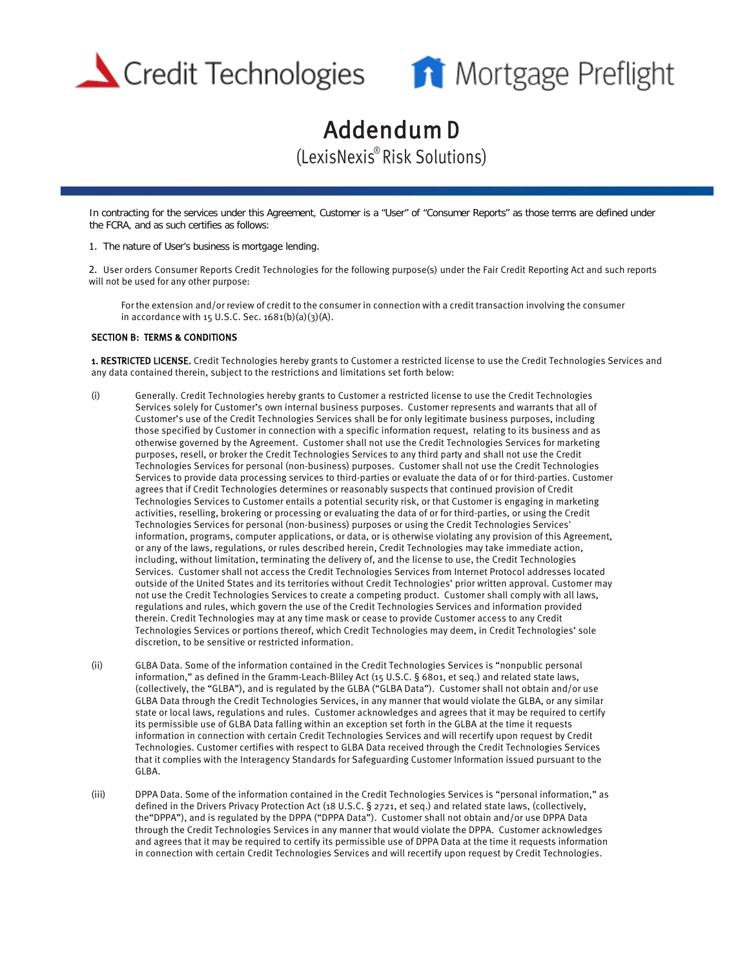



## Addendum D (LexisNexis® Risk Solutions)

In contracting for the services under this Agreement, Customer is a "User" of "Consumer Reports" as those terms are defined under the FCRA, and as such certifies as follows:

1. The nature of User's business is mortgage lending.

2. User orders Consumer Reports Credit Technologies for the following purpose(s) under the Fair Credit Reporting Act and such reports will not be used for any other purpose:

For the extension and/or review of credit to the consumer in connection with a credit transaction involving the consumer in accordance with 15 U.S.C. Sec.  $1681(b)(a)(3)(A)$ .

## SECTION B: TERMS & CONDITIONS

1. RESTRICTED LICENSE. Credit Technologies hereby grants to Customer a restricted license to use the Credit Technologies Services and any data contained therein, subject to the restrictions and limitations set forth below:

- (i) Generally. Credit Technologies hereby grants to Customer a restricted license to use the Credit Technologies Services solely for Customer's own internal business purposes. Customer represents and warrants that all of Customer's use of the Credit Technologies Services shall be for only legitimate business purposes, including those specified by Customer in connection with a specific information request, relating to its business and as otherwise governed by the Agreement. Customer shall not use the Credit Technologies Services for marketing purposes, resell, or broker the Credit Technologies Services to any third party and shall not use the Credit Technologies Services for personal (non-business) purposes. Customer shall not use the Credit Technologies Services to provide data processing services to third-parties or evaluate the data of or for third-parties. Customer agrees that if Credit Technologies determines or reasonably suspects that continued provision of Credit Technologies Services to Customer entails a potential security risk, or that Customer is engaging in marketing activities, reselling, brokering or processing or evaluating the data of or for third-parties, or using the Credit Technologies Services for personal (non-business) purposes or using the Credit Technologies Services' information, programs, computer applications, or data, or is otherwise violating any provision of this Agreement, or any of the laws, regulations, or rules described herein, Credit Technologies may take immediate action, including, without limitation, terminating the delivery of, and the license to use, the Credit Technologies Services. Customer shall not access the Credit Technologies Services from Internet Protocol addresses located outside of the United States and its territories without Credit Technologies' prior written approval. Customer may not use the Credit Technologies Services to create a competing product. Customer shall comply with all laws, regulations and rules, which govern the use of the Credit Technologies Services and information provided therein. Credit Technologies may at any time mask or cease to provide Customer access to any Credit Technologies Services or portions thereof, which Credit Technologies may deem, in Credit Technologies' sole discretion, to be sensitive or restricted information.
- (ii) GLBA Data. Some of the information contained in the Credit Technologies Services is "nonpublic personal information," as defined in the Gramm-Leach-Bliley Act (15 U.S.C. § 6801, et seq.) and related state laws, (collectively, the "GLBA"), and is regulated by the GLBA ("GLBA Data"). Customer shall not obtain and/or use GLBA Data through the Credit Technologies Services, in any manner that would violate the GLBA, or any similar state or local laws, regulations and rules. Customer acknowledges and agrees that it may be required to certify its permissible use of GLBA Data falling within an exception set forth in the GLBA at the time it requests information in connection with certain Credit Technologies Services and will recertify upon request by Credit Technologies. Customer certifies with respect to GLBA Data received through the Credit Technologies Services that it complies with the Interagency Standards for Safeguarding Customer Information issued pursuant to the GLBA.
- (iii) DPPA Data. Some of the information contained in the Credit Technologies Services is "personal information," as defined in the Drivers Privacy Protection Act (18 U.S.C. § 2721, et seq.) and related state laws, (collectively, the"DPPA"), and is regulated by the DPPA ("DPPA Data"). Customer shall not obtain and/or use DPPA Data through the Credit Technologies Services in any manner thatwould violate the DPPA. Customer acknowledges and agrees that it may be required to certify its permissible use of DPPA Data at the time it requests information in connection with certain Credit Technologies Services and will recertify upon request by Credit Technologies.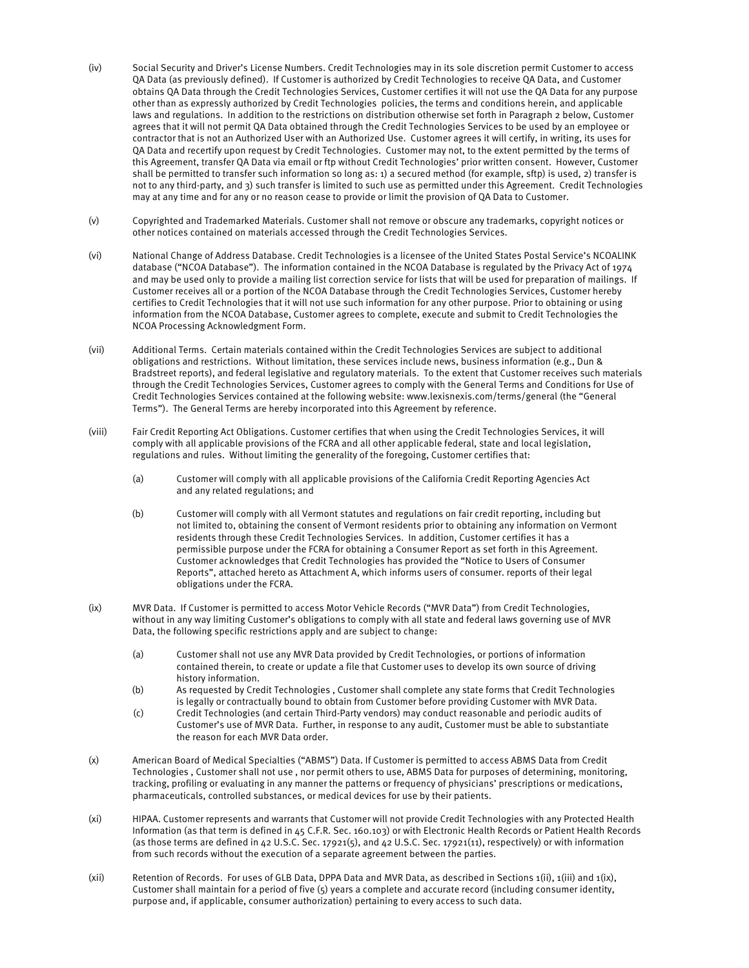- (iv) Social Security and Driver's License Numbers. Credit Technologies may in its sole discretion permit Customer to access QA Data (as previously defined). If Customer is authorized by Credit Technologies to receive QA Data, and Customer obtains QA Data through the Credit Technologies Services, Customer certifies it will not use the QA Data for any purpose other than as expressly authorized by Credit Technologies policies, the terms and conditions herein, and applicable laws and regulations. In addition to the restrictions on distribution otherwise set forth in Paragraph 2 below, Customer agrees that it will not permit QA Data obtained through the Credit Technologies Services to be used by an employee or contractor that is not an Authorized User with an Authorized Use. Customer agrees it will certify, in writing, its uses for QA Data and recertify upon request by Credit Technologies. Customer may not, to the extent permitted by the terms of this Agreement, transfer QA Data via email or ftp without Credit Technologies' prior written consent. However, Customer shall be permitted to transfer such information so long as: 1) a secured method (for example, sftp) is used, 2) transfer is not to any third-party, and 3) such transfer is limited to such use as permitted under this Agreement. Credit Technologies may at any time and for any or no reason cease to provide or limit the provision of QA Data to Customer.
- (v) Copyrighted and Trademarked Materials. Customer shall not remove or obscure any trademarks, copyright notices or other notices contained on materials accessed through the Credit Technologies Services.
- (vi) National Change of Address Database. Credit Technologies is a licensee of the United States Postal Service's NCOALINK database ("NCOA Database"). The information contained in the NCOA Database is regulated by the Privacy Act of 1974 and may be used only to provide a mailing list correction service for lists that will be used for preparation of mailings. If Customer receives all or a portion of the NCOA Database through the Credit Technologies Services, Customer hereby certifies to Credit Technologies that it will not use such information for any other purpose. Prior to obtaining or using information from the NCOA Database, Customer agrees to complete, execute and submit to Credit Technologies the NCOA Processing Acknowledgment Form.
- (vii) Additional Terms. Certain materials contained within the Credit Technologies Services are subject to additional obligations and restrictions. Without limitation, these services include news, business information (e.g., Dun & Bradstreet reports), and federal legislative and regulatory materials. To the extent that Customer receives such materials through the Credit Technologies Services, Customer agrees to comply with the General Terms and Conditions for Use of Credit Technologies Ser[vices contained at the following webs](https://www.lexisnexis.com/terms/general)ite: www.lexisnexis.com/terms/general (the "General Terms"). The General Terms are hereby incorporated into this Agreement by reference.
- (viii) Fair Credit Reporting Act Obligations. Customer certifies that when using the Credit Technologies Services, it will comply with all applicable provisions of the FCRA and all other applicable federal, state and local legislation, regulations and rules. Without limiting the generality of the foregoing, Customer certifies that:
	- (a) Customer will comply with all applicable provisions of the California Credit Reporting Agencies Act and any related regulations; and
	- (b) Customer will comply with all Vermont statutes and regulations on fair credit reporting, including but not limited to, obtaining the consent of Vermont residents prior to obtaining any information on Vermont residents through these Credit Technologies Services. In addition, Customer certifies it has a permissible purpose under the FCRA for obtaining a Consumer Report as set forth in this Agreement. Customer acknowledges that Credit Technologies has provided the "Notice to Users of Consumer Reports", attached hereto as Attachment A, which informs users of consumer. reports of their legal obligations under the FCRA.
- (ix) MVR Data. If Customer is permitted to access Motor Vehicle Records ("MVR Data") from Credit Technologies, without in any way limiting Customer's obligations to comply with all state and federal laws governing use of MVR Data, the following specific restrictions apply and are subject to change:
	- (a) Customer shall not use any MVR Data provided by Credit Technologies, or portions of information contained therein, to create or update a file that Customer uses to develop its own source of driving history information.
	- (b) As requested by Credit Technologies , Customer shall complete any state forms that Credit Technologies is legally or contractually bound to obtain from Customer before providing Customer with MVR Data.
	- (c) Credit Technologies (and certain Third-Party vendors) may conduct reasonable and periodic audits of Customer's use of MVR Data. Further, in response to any audit, Customer must be able to substantiate the reason for each MVR Data order.
- (x) American Board of Medical Specialties ("ABMS") Data. If Customer is permitted to access ABMS Data from Credit Technologies , Customer shall not use , nor permit others to use, ABMS Data for purposes of determining, monitoring, tracking, profiling or evaluating in any manner the patterns or frequency of physicians' prescriptions or medications, pharmaceuticals, controlled substances, or medical devices for use by their patients.
- (xi) HIPAA. Customer represents and warrants that Customer will not provide Credit Technologies with any Protected Health Information (as that term is defined in 45 C.F.R. Sec. 160.103) or with Electronic Health Records or Patient Health Records (as those terms are defined in 42 U.S.C. Sec. 17921(5), and 42 U.S.C. Sec. 17921(11), respectively) or with information from such records without the execution of a separate agreement between the parties.
- (xii) Retention of Records. For uses of GLB Data, DPPA Data and MVR Data, as described in Sections 1(ii), 1(iii) and 1(ix), Customer shall maintain for a period of five (5) years a complete and accurate record (including consumer identity, purpose and, if applicable, consumer authorization) pertaining to every access to such data.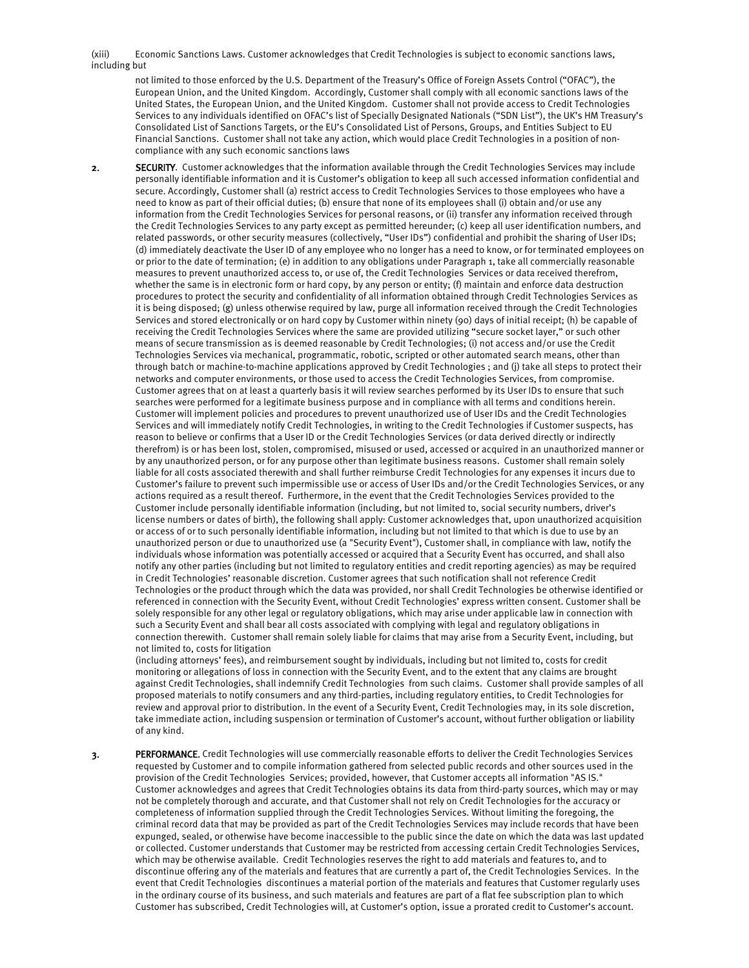(xiii) Economic Sanctions Laws. Customer acknowledges that Credit Technologies is subject to economic sanctions laws, including but

not limited to those enforced by the U.S. Department of the Treasury's Office of Foreign Assets Control ("OFAC"), the European Union, and the United Kingdom. Accordingly, Customer shall comply with all economic sanctions laws of the United States, the European Union, and the United Kingdom. Customer shall not provide access to Credit Technologies Services to any individuals identified on OFAC's list of Specially Designated Nationals ("SDN List"), the UK's HM Treasury's Consolidated List of Sanctions Targets, or the EU's Consolidated List of Persons, Groups, and Entities Subject to EU Financial Sanctions. Customer shall not take any action, which would place Credit Technologies in a position of noncompliance with any such economic sanctions laws

2. SECURITY. Customer acknowledges that the information available through the Credit Technologies Services may include personally identifiable information and it is Customer's obligation to keep all such accessed information confidential and secure. Accordingly, Customer shall (a) restrict access to Credit Technologies Services to those employees who have a need to know as part of their official duties; (b) ensure that none of its employees shall (i) obtain and/or use any information from the Credit Technologies Services for personal reasons, or (ii) transfer any information received through the Credit Technologies Services to any party except as permitted hereunder; (c) keep all user identification numbers, and related passwords, or other security measures (collectively, "User IDs") confidential and prohibit the sharing of User IDs; (d) immediately deactivate the User ID of any employee who no longer has a need to know, or for terminated employees on or prior to the date of termination; (e) in addition to any obligations under Paragraph 1, take all commercially reasonable measures to prevent unauthorized access to, or use of, the Credit Technologies Services or data received therefrom, whether the same is in electronic form or hard copy, by any person or entity; (f) maintain and enforce data destruction procedures to protect the security and confidentiality of all information obtained through Credit Technologies Services as it is being disposed; (g) unless otherwise required by law, purge all information received through the Credit Technologies Services and stored electronically or on hard copy by Customer within ninety (90) days of initial receipt; (h) be capable of receiving the Credit Technologies Services where the same are provided utilizing "secure socket layer," or such other means of secure transmission as is deemed reasonable by Credit Technologies; (i) not access and/or use the Credit Technologies Services via mechanical, programmatic, robotic, scripted or othe[r automated search means, other than](http://www.lexisnexis.com/terms/general)  through batch or machine-to-machine applications approved by Credit Technologies ; and (j) take all steps to protect their networks and computer environments, or those used to access the Credit Technologies Services, from compromise. Customer agrees that on at least a quarterly basis it will review searches performed by its User IDs to ensure that such searches were performed for a legitimate business purpose and in compliance with all terms and conditions herein. Customer will implement policies and procedures to prevent unauthorized use of User IDs and the Credit Technologies Services and will immediately notify Credit Technologies, in writing to the Credit Technologies if Customer suspects, has reason to believe or confirms that a User ID or the Credit Technologies Services (or data derived directly or indirectly therefrom) is or has been lost, stolen, compromised, misused or used, accessed or acquired in an unauthorized manner or by any unauthorized person, or for any purpose other than legitimate business reasons. Customer shall remain solely liable for all costs associated therewith and shall further reimburse Credit Technologies for any expenses it incurs due to Customer's failure to prevent such impermissible use or access of User IDs and/or the Credit Technologies Services, or any actions required as a result thereof. Furthermore, in the event that the Credit Technologies Services provided to the Customer include personally identifiable information (including, but not limited to, social security numbers, driver's license numbers or dates of birth), the following shall apply: Customer acknowledges that, upon unauthorized acquisition or access of or to such personally identifiable information, including but not limited to that which is due to use by an unauthorized person or due to unauthorized use (a "Security Event"), Customer shall, in compliance with law, notify the individuals whose information was potentially accessed or acquired that a Security Event has occurred, and shall also notify any other parties (including but not limited to regulatory entities and credit reporting agencies) as may be required in Credit Technologies' reasonable discretion. Customer agrees that such notification shall not reference Credit Technologies or the product through which the data was provided, nor shall Credit Technologies be otherwise identified or referenced in connection with the Security Event, without Credit Technologies' express written consent. Customer shall be solely responsible for any other legal or regulatory obligations, which may arise under applicable law in connection with such a Security Event and shall bear all costs associated with complying with legal and regulatory obligations in connection therewith. Customer shall remain solely liable for claims that may arise from a Security Event, including, but not limited to, costs for litigation

(including attorneys' fees), and reimbursement sought by individuals, including but not limited to, costs for credit monitoring or allegations of loss in connection with the Security Event, and to the extent that any claims are brought against Credit Technologies, shall indemnify Credit Technologies from such claims. Customer shall provide samples of all proposed materials to notify consumers and any third-parties, including regulatory entities, to Credit Technologies for review and approval prior to distribution. In the event of a Security Event, Credit Technologies may, in its sole discretion, take immediate action, including suspension or termination of Customer's account, without further obligation or liability of any kind.

3. PERFORMANCE. Credit Technologies will use commercially reasonable efforts to deliver the Credit Technologies Services requested by Customer and to compile information gathered from selected public records and other sources used in the provision of the Credit Technologies Services; provided, however, that Customer accepts all information "AS IS." Customer acknowledges and agrees that Credit Technologies obtains its data from third-party sources, which may or may not be completely thorough and accurate, and that Customer shall not rely on Credit Technologies for the accuracy or completeness of information supplied through the Credit Technologies Services. Without limiting the foregoing, the criminal record data that may be provided as part of the Credit Technologies Services may include records that have been expunged, sealed, or otherwise have become inaccessible to the public since the date on which the data was last updated or collected. Customer understands that Customer may be restricted from accessing certain Credit Technologies Services, which may be otherwise available. Credit Technologies reserves the right to add materials and features to, and to discontinue offering any of the materials and features that are currently a part of, the Credit Technologies Services. In the event that Credit Technologies discontinues a material portion of the materials and features that Customer regularly uses in the ordinary course of its business, and such materials and features are part of a flat fee subscription plan to which Customer has subscribed, Credit Technologies will, at Customer's option, issue a prorated credit to Customer's account.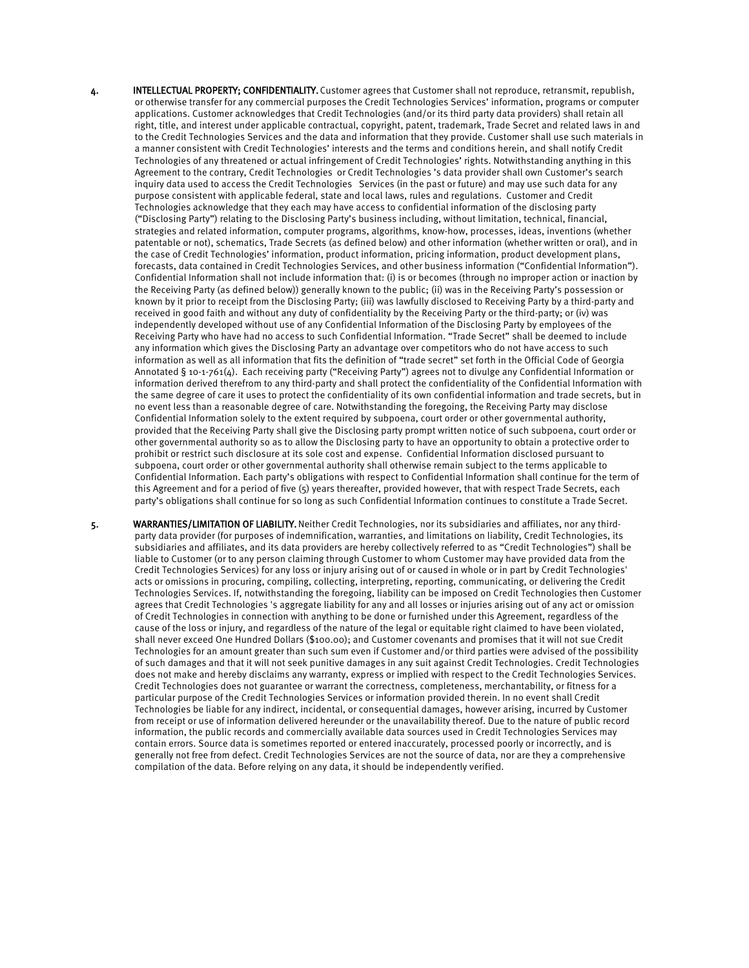- 4. INTELLECTUAL PROPERTY; CONFIDENTIALITY. Customer agrees that Customer shall not reproduce, retransmit, republish, or otherwise transfer for any commercial purposes the Credit Technologies Services' information, programs or computer applications. Customer acknowledges that Credit Technologies (and/or its third party data providers) shall retain all right, title, and interest under applicable contractual, copyright, patent, trademark, Trade Secret and related laws in and to the Credit Technologies Services and the data and information that they provide. Customer shall use such materials in a manner consistent with Credit Technologies' interests and the terms and conditions herein, and shall notify Credit Technologies of any threatened or actual infringement of Credit Technologies' rights. Notwithstanding anything in this Agreement to the contrary, Credit Technologies or Credit Technologies 's data provider shall own Customer's search inquiry data used to access the Credit Technologies Services (in the past or future) and may use such data for any purpose consistent with applicable federal, state and local laws, rules and regulations. Customer and Credit Technologies acknowledge that they each may have access to confidential information of the disclosing party ("Disclosing Party") relating to the Disclosing Party's business including, without limitation, technical, financial, strategies and related information, computer programs, algorithms, know-how, processes, ideas, inventions (whether patentable or not), schematics, Trade Secrets (as defined below) and other information (whether written or oral), and in the case of Credit Technologies' information, product information, pricing information, product development plans, forecasts, data contained in Credit Technologies Services, and other business information ("Confidential Information"). Confidential Information shall not include information that: (i) is or becomes (through no improper action or inaction by the Receiving Party (as defined below)) generally known to the public; (ii) was in the Receiving Party's possession or known by it prior to receipt from the Disclosing Party; (iii) was lawfully disclosed to Receiving Party by a third-party and received in good faith and without any duty of confidentiality by the Receiving Party or the third-party; or (iv) was independently developed without use of any Confidential Information of the Disclosing Party by employees of the Receiving Party who have had no access to such Confidential Information. "Trade Secret" shall be deemed to include any information which gives the Disclosing Party an advantage over competitors who do not have access to such information as well as all information that fits the definition of "trade secret" set forth in the Official Code of Georgia Annotated § 10-1-761(4). Each receiving party ("Receiving Party") agrees not to divulge any Confidential Information or information derived therefrom to any third-party and shall protect the confidentiality of the Confidential Information with the same degree of care it uses to protect the confidentiality of its own confidential information and trade secrets, but in no event less than a reasonable degree of care. Notwithstanding the foregoing, the Receiving Party may disclose Confidential Information solely to the extent required by subpoena, court order or other governmental authority, provided that the Receiving Party shall give the Disclosing party prompt written notice of such subpoena, court order or other governmental authority so as to allow the Disclosing party to have an opportunity to obtain a protective order to prohibit or restrict such disclosure at its sole cost and expense. Confidential Information disclosed pursuant to subpoena, court order or other governmental authority shall otherwise remain subject to the terms applicable to Confidential Information. Each party's obligations with respect to Confidential Information shall continue for the term of this Agreement and for a period of five (5) years thereafter, provided however, that with respect Trade Secrets, each party's obligations shall continue for so long as such Confidential Information continues to constitute a Trade Secret.
- 5. WARRANTIES/LIMITATION OF LIABILITY. Neither Credit Technologies, nor its subsidiaries and affiliates, nor any thirdparty data provider (for purposes of indemnification, warranties, and limitations on liability, Credit Technologies, its subsidiaries and affiliates, and its data providers are hereby collectively referred to as "Credit Technologies") shall be liable to Customer (or to any person claiming through Customer to whom Customer may have provided data from the Credit Technologies Services) for any loss or injury arising out of or caused in whole or in part by Credit Technologies' acts or omissions in procuring, compiling, collecting, interpreting, reporting, communicating, or delivering the Credit Technologies Services. If, notwithstanding the foregoing, liability can be imposed on Credit Technologies then Customer agrees that Credit Technologies 's aggregate liability for any and all losses or injuries arising out of any act or omission of Credit Technologies in connection with anything to be done or furnished under this Agreement, regardless of the cause of the loss or injury, and regardless of the nature of the legal or equitable right claimed to have been violated, shall never exceed One Hundred Dollars (\$100.00); and Customer covenants and promises that it will not sue Credit Technologies for an amount greater than such sum even if Customer and/or third parties were advised of the possibility of such damages and that it will not seek punitive damages in any suit against Credit Technologies. Credit Technologies does not make and hereby disclaims any warranty, express or implied with respect to the Credit Technologies Services. Credit Technologies does not guarantee or warrant the correctness, completeness, merchantability, or fitness for a particular purpose of the Credit Technologies Services or information provided therein. In no event shall Credit Technologies be liable for any indirect, incidental, or consequential damages, however arising, incurred by Customer from receipt or use of information delivered hereunder or the unavailability thereof. Due to the nature of public record information, the public records and commercially available data sources used in Credit Technologies Services may contain errors. Source data is sometimes reported or entered inaccurately, processed poorly or incorrectly, and is generally not free from defect. Credit Technologies Services are not the source of data, nor are they a comprehensive compilation of the data. Before relying on any data, it should be independently verified.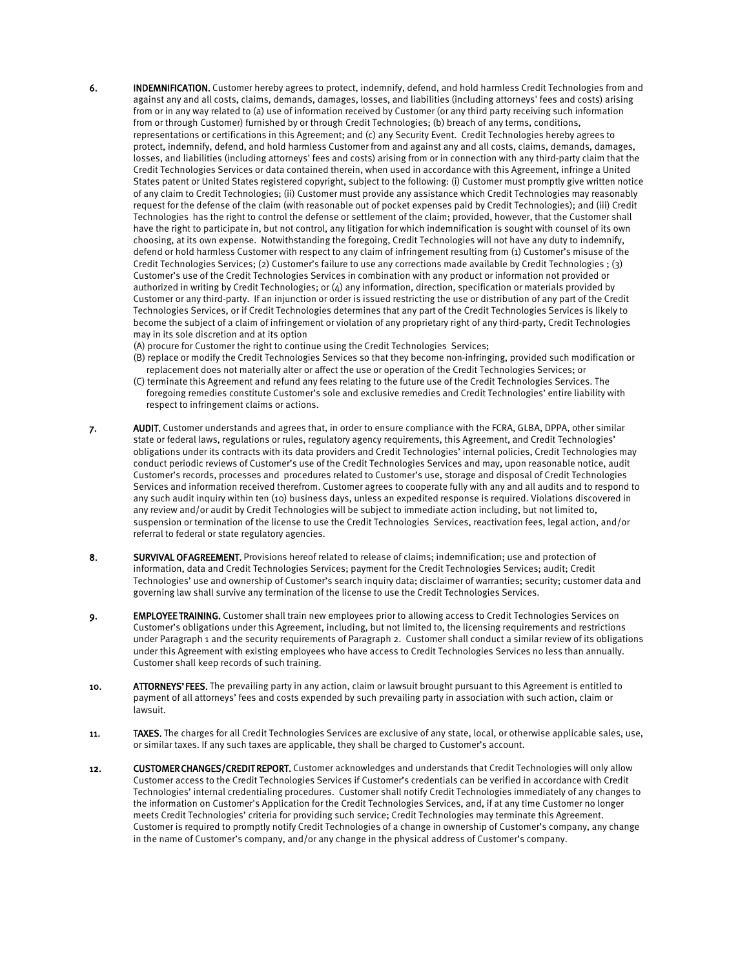- 6. INDEMNIFICATION. Customer hereby agrees to protect, indemnify, defend, and hold harmless Credit Technologies from and against any and all costs, claims, demands, damages, losses, and liabilities (including attorneys' fees and costs) arising from or in any way related to (a) use of information received by Customer (or any third party receiving such information from or through Customer) furnished by or through Credit Technologies; (b) breach of any terms, conditions, representations or certifications in this Agreement; and (c) any Security Event. Credit Technologies hereby agrees to protect, indemnify, defend, and hold harmless Customer from and against any and all costs, claims, demands, damages, losses, and liabilities (including attorneys' fees and costs) arising from or in connection with any third-party claim that the Credit Technologies Services or data contained therein, when used in accordance with this Agreement, infringe a United States patent or United States registered copyright, subject to the following: (i) Customer must promptly give written notice of any claim to Credit Technologies; (ii) Customer must provide any assistance which Credit Technologies may reasonably request for the defense of the claim (with reasonable out of pocket expenses paid by Credit Technologies); and (iii) Credit Technologies has the right to control the defense or settlement of the claim; provided, however, that the Customer shall have the right to participate in, but not control, any litigation for which indemnification is sought with counsel of its own choosing, at its own expense. Notwithstanding the foregoing, Credit Technologies will not have any duty to indemnify, defend or hold harmless Customer with respect to any claim of infringement resulting from (1) Customer's misuse of the Credit Technologies Services; (2) Customer's failure to use any corrections made available by Credit Technologies ; (3) Customer's use of the Credit Technologies Services in combination with any product or information not provided or authorized in writing by Credit Technologies; or (4) any information, direction, specification or materials provided by Customer or any third-party. If an injunction or order is issued restricting the use or distribution of any part of the Credit Technologies Services, or if Credit Technologies determines that any part of the Credit Technologies Services is likely to become the subject of a claim of infringement or violation of any proprietary right of any third-party, Credit Technologies may in its sole discretion and at its option
	- (A) procure for Customer the right to continue using the Credit Technologies Services;
	- (B) replace or modify the Credit Technologies Services so that they become non-infringing, provided such modification or replacement does not materially alter or affect the use or operation of the Credit Technologies Services; or
	- (C) terminate this Agreement and refund any fees relating to the future use of the Credit Technologies Services. The foregoing remedies constitute Customer's sole and exclusive remedies and Credit Technologies' entire liability with respect to infringement claims or actions.
- 7. AUDIT. Customer understands and agrees that, in order to ensure compliance with the FCRA, GLBA, DPPA, other similar state or federal laws, regulations or rules, regulatory agency requirements, this Agreement, and Credit Technologies' obligations under its contracts with its data providers and Credit Technologies' internal policies, Credit Technologies may conduct periodic reviews of Customer's use of the Credit Technologies Services and may, upon reasonable notice, audit Customer's records, processes and procedures related to Customer's use, storage and disposal of Credit Technologies Services and information received therefrom. Customer agrees to cooperate fully with any and all audits and to respond to any such audit inquiry within ten (10) business days, unless an expedited response is required. Violations discovered in any review and/or audit by Credit Technologies will be subject to immediate action including, but not limited to, suspension or termination of the license to use the Credit Technologies Services, reactivation fees, legal action, and/or referral to federal or state regulatory agencies.
- 8. SURVIVAL OF AGREEMENT. Provisions hereof related to release of claims; indemnification; use and protection of information, data and Credit Technologies Services; payment for the Credit Technologies Services; audit; Credit Technologies' use and ownership of Customer's search inquiry data; disclaimer of warranties; security; customer data and governing law shall survive any termination of the license to use the Credit Technologies Services.
- 9. EMPLOYEE TRAINING. Customer shall train new employees prior to allowing access to Credit Technologies Services on Customer's obligations under this Agreement, including, but not limited to, the licensing requirements and restrictions under Paragraph 1 and the security requirements of Paragraph 2. Customer shall conduct a similar review of its obligations under this Agreement with existing employees who have access to Credit Technologies Services no less than annually. Customer shall keep records of such training.
- 10. ATTORNEYS' FEES. The prevailing party in any action, claim or lawsuit brought pursuant to this Agreement is entitled to payment of all attorneys' fees and costs expended by such prevailing party in association with such action, claim or lawsuit.
- 11. TAXES. The charges for all Credit Technologies Services are exclusive of any state, local, or otherwise applicable sales, use, or similar taxes. If any such taxes are applicable, they shall be charged to Customer's account.
- 12. CUSTOMER CHANGES/CREDIT REPORT. Customer acknowledges and understands that Credit Technologies will only allow Customer access to the Credit Technologies Services if Customer's credentials can be verified in accordance with Credit Technologies' internal credentialing procedures. Customer shall notify Credit Technologies immediately of any changes to the information on Customer's Application for the Credit Technologies Services, and, if at any time Customer no longer meets Credit Technologies' criteria for providing such service; Credit Technologies may terminate this Agreement. Customer is required to promptly notify Credit Technologies of a change in ownership of Customer's company, any change in the name of Customer's company, and/or any change in the physical address of Customer's company.